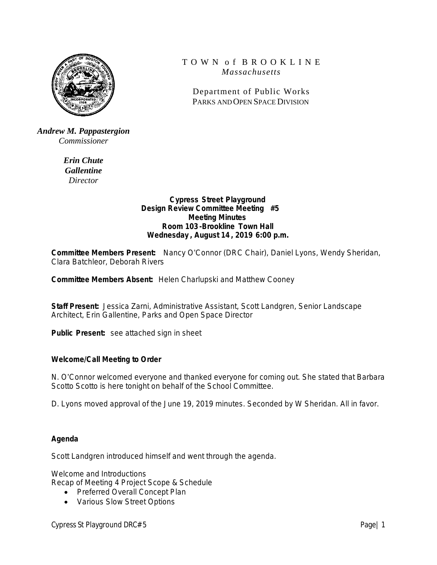

# T O W N o f B R O O K L I N E *Massachusetts*

Department of Public Works PARKS AND OPEN SPACE DIVISION

*Andrew M. Pappastergion Commissioner*

> *Erin Chute Gallentine Director*

### **Cypress Street Playground Design Review Committee Meeting #5 Meeting Minutes Room 103-Brookline Town Hall Wednesday , August 14 , 2019 6:00 p.m.**

**Committee Members Present:** Nancy O'Connor (DRC Chair), Daniel Lyons, Wendy Sheridan, Clara Batchleor, Deborah Rivers

**Committee Members Absent:** Helen Charlupski and Matthew Cooney

**Staff Present:** Jessica Zarni, Administrative Assistant, Scott Landgren, Senior Landscape Architect, Erin Gallentine, Parks and Open Space Director

**Public Present:** see attached sign in sheet

### **Welcome/Call Meeting to Order**

N. O'Connor welcomed everyone and thanked everyone for coming out. She stated that Barbara Scotto Scotto is here tonight on behalf of the School Committee.

D. Lyons moved approval of the June 19, 2019 minutes. Seconded by W Sheridan. All in favor.

### **Agenda**

Scott Landgren introduced himself and went through the agenda.

Welcome and Introductions

Recap of Meeting 4 Project Scope & Schedule

- Preferred Overall Concept Plan
- Various Slow Street Options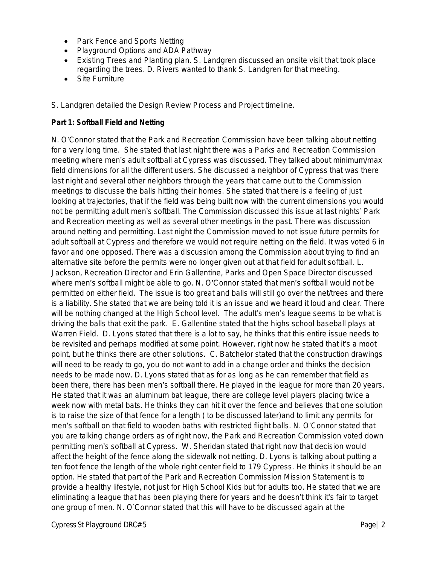- Park Fence and Sports Netting
- Playground Options and ADA Pathway
- Existing Trees and Planting plan. S. Landgren discussed an onsite visit that took place regarding the trees. D. Rivers wanted to thank S. Landgren for that meeting.
- Site Furniture

S. Landgren detailed the Design Review Process and Project timeline.

### **Part 1: Softball Field and Netting**

N. O'Connor stated that the Park and Recreation Commission have been talking about netting for a very long time. She stated that last night there was a Parks and Recreation Commission meeting where men's adult softball at Cypress was discussed. They talked about minimum/max field dimensions for all the different users. She discussed a neighbor of Cypress that was there last night and several other neighbors through the years that came out to the Commission meetings to discusse the balls hitting their homes. She stated that there is a feeling of just looking at trajectories, that if the field was being built now with the current dimensions you would not be permitting adult men's softball. The Commission discussed this issue at last nights' Park and Recreation meeting as well as several other meetings in the past. There was discussion around netting and permitting. Last night the Commission moved to not issue future permits for adult softball at Cypress and therefore we would not require netting on the field. It was voted 6 in favor and one opposed. There was a discussion among the Commission about trying to find an alternative site before the permits were no longer given out at that field for adult softball. L. Jackson, Recreation Director and Erin Gallentine, Parks and Open Space Director discussed where men's softball might be able to go. N. O'Connor stated that men's softball would not be permitted on either field. The issue is too great and balls will still go over the net/trees and there is a liability. She stated that we are being told it is an issue and we heard it loud and clear. There will be nothing changed at the High School level. The adult's men's league seems to be what is driving the balls that exit the park. E. Gallentine stated that the highs school baseball plays at Warren Field. D. Lyons stated that there is a lot to say, he thinks that this entire issue needs to be revisited and perhaps modified at some point. However, right now he stated that it's a moot point, but he thinks there are other solutions. C. Batchelor stated that the construction drawings will need to be ready to go, you do not want to add in a change order and thinks the decision needs to be made now. D. Lyons stated that as for as long as he can remember that field as been there, there has been men's softball there. He played in the league for more than 20 years. He stated that it was an aluminum bat league, there are college level players placing twice a week now with metal bats. He thinks they can hit it over the fence and believes that one solution is to raise the size of that fence for a length ( to be discussed later)and to limit any permits for men's softball on that field to wooden baths with restricted flight balls. N. O'Connor stated that you are talking change orders as of right now, the Park and Recreation Commission voted down permitting men's softball at Cypress. W. Sheridan stated that right now that decision would affect the height of the fence along the sidewalk not netting. D. Lyons is talking about putting a ten foot fence the length of the whole right center field to 179 Cypress. He thinks it should be an option. He stated that part of the Park and Recreation Commission Mission Statement is to provide a healthy lifestyle, not just for High School Kids but for adults too. He stated that we are eliminating a league that has been playing there for years and he doesn't think it's fair to target one group of men. N. O'Connor stated that this will have to be discussed again at the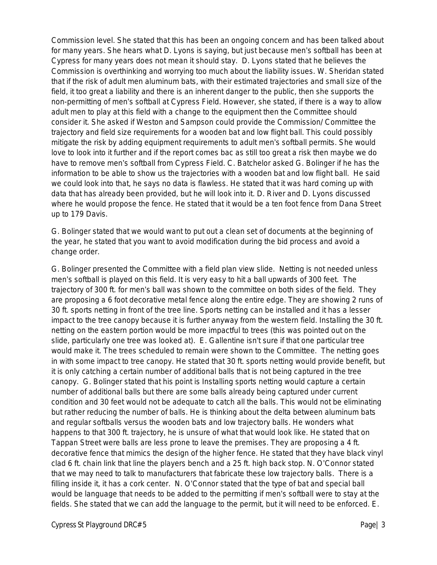Commission level. She stated that this has been an ongoing concern and has been talked about for many years. She hears what D. Lyons is saying, but just because men's softball has been at Cypress for many years does not mean it should stay. D. Lyons stated that he believes the Commission is overthinking and worrying too much about the liability issues. W. Sheridan stated that if the risk of adult men aluminum bats, with their estimated trajectories and small size of the field, it too great a liability and there is an inherent danger to the public, then she supports the non-permitting of men's softball at Cypress Field. However, she stated, if there is a way to allow adult men to play at this field with a change to the equipment then the Committee should consider it. She asked if Weston and Sampson could provide the Commission/ Committee the trajectory and field size requirements for a wooden bat and low flight ball. This could possibly mitigate the risk by adding equipment requirements to adult men's softball permits. She would love to look into it further and if the report comes bac as still too great a risk then maybe we do have to remove men's softball from Cypress Field. C. Batchelor asked G. Bolinger if he has the information to be able to show us the trajectories with a wooden bat and low flight ball. He said we could look into that, he says no data is flawless. He stated that it was hard coming up with data that has already been provided, but he will look into it. D. River and D. Lyons discussed where he would propose the fence. He stated that it would be a ten foot fence from Dana Street up to 179 Davis.

G. Bolinger stated that we would want to put out a clean set of documents at the beginning of the year, he stated that you want to avoid modification during the bid process and avoid a change order.

G. Bolinger presented the Committee with a field plan view slide. Netting is not needed unless men's softball is played on this field. It is very easy to hit a ball upwards of 300 feet. The trajectory of 300 ft. for men's ball was shown to the committee on both sides of the field. They are proposing a 6 foot decorative metal fence along the entire edge. They are showing 2 runs of 30 ft. sports netting in front of the tree line. Sports netting can be installed and it has a lesser impact to the tree canopy because it is further anyway from the western field. Installing the 30 ft. netting on the eastern portion would be more impactful to trees (this was pointed out on the slide, particularly one tree was looked at). E. Gallentine isn't sure if that one particular tree would make it. The trees scheduled to remain were shown to the Committee. The netting goes in with some impact to tree canopy. He stated that 30 ft. sports netting would provide benefit, but it is only catching a certain number of additional balls that is not being captured in the tree canopy. G. Bolinger stated that his point is Installing sports netting would capture a certain number of additional balls but there are some balls already being captured under current condition and 30 feet would not be adequate to catch all the balls. This would not be eliminating but rather reducing the number of balls. He is thinking about the delta between aluminum bats and regular softballs versus the wooden bats and low trajectory balls. He wonders what happens to that 300 ft. trajectory, he is unsure of what that would look like. He stated that on Tappan Street were balls are less prone to leave the premises. They are proposing a 4 ft. decorative fence that mimics the design of the higher fence. He stated that they have black vinyl clad 6 ft. chain link that line the players bench and a 25 ft. high back stop. N. O'Connor stated that we may need to talk to manufacturers that fabricate these low trajectory balls. There is a filling inside it, it has a cork center. N. O'Connor stated that the type of bat and special ball would be language that needs to be added to the permitting if men's softball were to stay at the fields. She stated that we can add the language to the permit, but it will need to be enforced. E.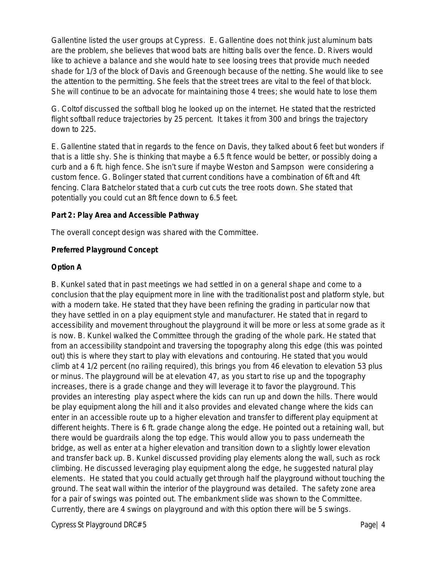Gallentine listed the user groups at Cypress. E. Gallentine does not think just aluminum bats are the problem, she believes that wood bats are hitting balls over the fence. D. Rivers would like to achieve a balance and she would hate to see loosing trees that provide much needed shade for 1/3 of the block of Davis and Greenough because of the netting. She would like to see the attention to the permitting. She feels that the street trees are vital to the feel of that block. She will continue to be an advocate for maintaining those 4 trees; she would hate to lose them

G. Coltof discussed the softball blog he looked up on the internet. He stated that the restricted flight softball reduce trajectories by 25 percent. It takes it from 300 and brings the trajectory down to 225.

E. Gallentine stated that in regards to the fence on Davis, they talked about 6 feet but wonders if that is a little shy. She is thinking that maybe a 6.5 ft fence would be better, or possibly doing a curb and a 6 ft. high fence. She isn't sure if maybe Weston and Sampson were considering a custom fence. G. Bolinger stated that current conditions have a combination of 6ft and 4ft fencing. Clara Batchelor stated that a curb cut cuts the tree roots down. She stated that potentially you could cut an 8ft fence down to 6.5 feet.

## **Part 2: Play Area and Accessible Pathway**

The overall concept design was shared with the Committee.

# **Preferred Playground Concept**

## **Option A**

B. Kunkel sated that in past meetings we had settled in on a general shape and come to a conclusion that the play equipment more in line with the traditionalist post and platform style, but with a modern take. He stated that they have been refining the grading in particular now that they have settled in on a play equipment style and manufacturer. He stated that in regard to accessibility and movement throughout the playground it will be more or less at some grade as it is now. B. Kunkel walked the Committee through the grading of the whole park. He stated that from an accessibility standpoint and traversing the topography along this edge (this was pointed out) this is where they start to play with elevations and contouring. He stated that you would climb at 4 1/2 percent (no railing required), this brings you from 46 elevation to elevation 53 plus or minus. The playground will be at elevation 47, as you start to rise up and the topography increases, there is a grade change and they will leverage it to favor the playground. This provides an interesting play aspect where the kids can run up and down the hills. There would be play equipment along the hill and it also provides and elevated change where the kids can enter in an accessible route up to a higher elevation and transfer to different play equipment at different heights. There is 6 ft. grade change along the edge. He pointed out a retaining wall, but there would be guardrails along the top edge. This would allow you to pass underneath the bridge, as well as enter at a higher elevation and transition down to a slightly lower elevation and transfer back up. B. Kunkel discussed providing play elements along the wall, such as rock climbing. He discussed leveraging play equipment along the edge, he suggested natural play elements. He stated that you could actually get through half the playground without touching the ground. The seat wall within the interior of the playground was detailed. The safety zone area for a pair of swings was pointed out. The embankment slide was shown to the Committee. Currently, there are 4 swings on playground and with this option there will be 5 swings.

Cypress St Playground DRC# 5 Page | 4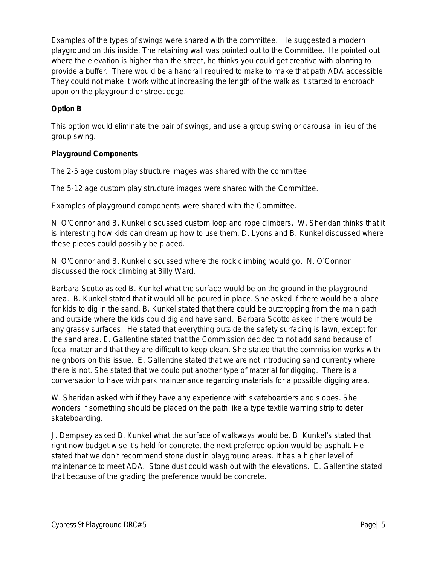Examples of the types of swings were shared with the committee. He suggested a modern playground on this inside. The retaining wall was pointed out to the Committee. He pointed out where the elevation is higher than the street, he thinks you could get creative with planting to provide a buffer. There would be a handrail required to make to make that path ADA accessible. They could not make it work without increasing the length of the walk as it started to encroach upon on the playground or street edge.

# **Option B**

This option would eliminate the pair of swings, and use a group swing or carousal in lieu of the group swing.

# **Playground Components**

The 2-5 age custom play structure images was shared with the committee

The 5-12 age custom play structure images were shared with the Committee.

Examples of playground components were shared with the Committee.

N. O'Connor and B. Kunkel discussed custom loop and rope climbers. W. Sheridan thinks that it is interesting how kids can dream up how to use them. D. Lyons and B. Kunkel discussed where these pieces could possibly be placed.

N. O'Connor and B. Kunkel discussed where the rock climbing would go. N. O'Connor discussed the rock climbing at Billy Ward.

Barbara Scotto asked B. Kunkel what the surface would be on the ground in the playground area. B. Kunkel stated that it would all be poured in place. She asked if there would be a place for kids to dig in the sand. B. Kunkel stated that there could be outcropping from the main path and outside where the kids could dig and have sand. Barbara Scotto asked if there would be any grassy surfaces. He stated that everything outside the safety surfacing is lawn, except for the sand area. E. Gallentine stated that the Commission decided to not add sand because of fecal matter and that they are difficult to keep clean. She stated that the commission works with neighbors on this issue. E. Gallentine stated that we are not introducing sand currently where there is not. She stated that we could put another type of material for digging. There is a conversation to have with park maintenance regarding materials for a possible digging area.

W. Sheridan asked with if they have any experience with skateboarders and slopes. She wonders if something should be placed on the path like a type textile warning strip to deter skateboarding.

J. Dempsey asked B. Kunkel what the surface of walkways would be. B. Kunkel's stated that right now budget wise it's held for concrete, the next preferred option would be asphalt. He stated that we don't recommend stone dust in playground areas. It has a higher level of maintenance to meet ADA. Stone dust could wash out with the elevations. E. Gallentine stated that because of the grading the preference would be concrete.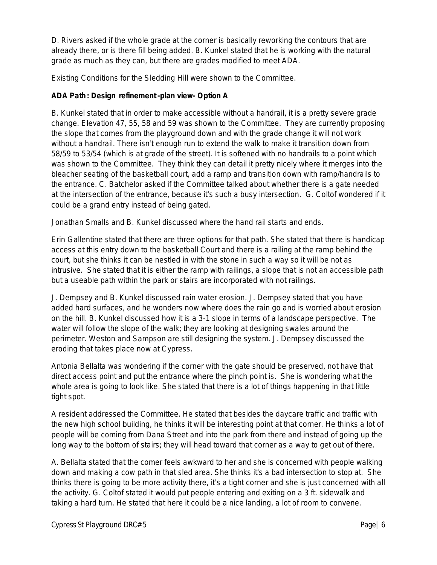D. Rivers asked if the whole grade at the corner is basically reworking the contours that are already there, or is there fill being added. B. Kunkel stated that he is working with the natural grade as much as they can, but there are grades modified to meet ADA.

Existing Conditions for the Sledding Hill were shown to the Committee.

# **ADA Path: Design refinement -plan view- Option A**

B. Kunkel stated that in order to make accessible without a handrail, it is a pretty severe grade change. Elevation 47, 55, 58 and 59 was shown to the Committee. They are currently proposing the slope that comes from the playground down and with the grade change it will not work without a handrail. There isn't enough run to extend the walk to make it transition down from 58/59 to 53/54 (which is at grade of the street). It is softened with no handrails to a point which was shown to the Committee. They think they can detail it pretty nicely where it merges into the bleacher seating of the basketball court, add a ramp and transition down with ramp/handrails to the entrance. C. Batchelor asked if the Committee talked about whether there is a gate needed at the intersection of the entrance, because it's such a busy intersection. G. Coltof wondered if it could be a grand entry instead of being gated.

Jonathan Smalls and B. Kunkel discussed where the hand rail starts and ends.

Erin Gallentine stated that there are three options for that path. She stated that there is handicap access at this entry down to the basketball Court and there is a railing at the ramp behind the court, but she thinks it can be nestled in with the stone in such a way so it will be not as intrusive. She stated that it is either the ramp with railings, a slope that is not an accessible path but a useable path within the park or stairs are incorporated with not railings.

J. Dempsey and B. Kunkel discussed rain water erosion. J. Dempsey stated that you have added hard surfaces, and he wonders now where does the rain go and is worried about erosion on the hill. B. Kunkel discussed how it is a 3-1 slope in terms of a landscape perspective. The water will follow the slope of the walk; they are looking at designing swales around the perimeter. Weston and Sampson are still designing the system. J. Dempsey discussed the eroding that takes place now at Cypress.

Antonia Bellalta was wondering if the corner with the gate should be preserved, not have that direct access point and put the entrance where the pinch point is. She is wondering what the whole area is going to look like. She stated that there is a lot of things happening in that little tight spot.

A resident addressed the Committee. He stated that besides the daycare traffic and traffic with the new high school building, he thinks it will be interesting point at that corner. He thinks a lot of people will be coming from Dana Street and into the park from there and instead of going up the long way to the bottom of stairs; they will head toward that corner as a way to get out of there.

A. Bellalta stated that the comer feels awkward to her and she is concerned with people walking down and making a cow path in that sled area. She thinks it's a bad intersection to stop at. She thinks there is going to be more activity there, it's a tight corner and she is just concerned with all the activity. G. Coltof stated it would put people entering and exiting on a 3 ft. sidewalk and taking a hard turn. He stated that here it could be a nice landing, a lot of room to convene.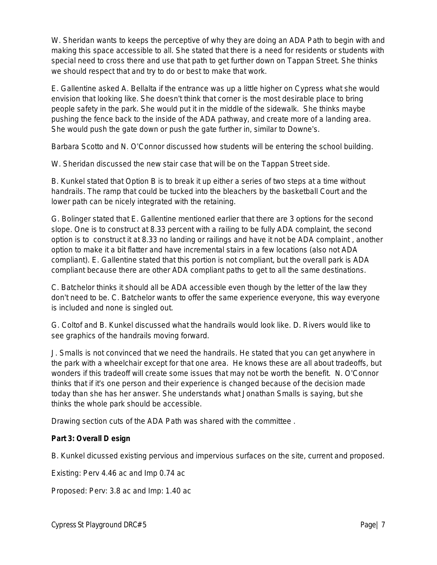W. Sheridan wants to keeps the perceptive of why they are doing an ADA Path to begin with and making this space accessible to all. She stated that there is a need for residents or students with special need to cross there and use that path to get further down on Tappan Street. She thinks we should respect that and try to do or best to make that work.

E. Gallentine asked A. Bellalta if the entrance was up a little higher on Cypress what she would envision that looking like. She doesn't think that corner is the most desirable place to bring people safety in the park. She would put it in the middle of the sidewalk. She thinks maybe pushing the fence back to the inside of the ADA pathway, and create more of a landing area. She would push the gate down or push the gate further in, similar to Downe's.

Barbara Scotto and N. O'Connor discussed how students will be entering the school building.

W. Sheridan discussed the new stair case that will be on the Tappan Street side.

B. Kunkel stated that Option B is to break it up either a series of two steps at a time without handrails. The ramp that could be tucked into the bleachers by the basketball Court and the lower path can be nicely integrated with the retaining.

G. Bolinger stated that E. Gallentine mentioned earlier that there are 3 options for the second slope. One is to construct at 8.33 percent with a railing to be fully ADA complaint, the second option is to construct it at 8.33 no landing or railings and have it not be ADA complaint , another option to make it a bit flatter and have incremental stairs in a few locations (also not ADA compliant). E. Gallentine stated that this portion is not compliant, but the overall park is ADA compliant because there are other ADA compliant paths to get to all the same destinations.

C. Batchelor thinks it should all be ADA accessible even though by the letter of the law they don't need to be. C. Batchelor wants to offer the same experience everyone, this way everyone is included and none is singled out.

G. Coltof and B. Kunkel discussed what the handrails would look like. D. Rivers would like to see graphics of the handrails moving forward.

J. Smalls is not convinced that we need the handrails. He stated that you can get anywhere in the park with a wheelchair except for that one area. He knows these are all about tradeoffs, but wonders if this tradeoff will create some issues that may not be worth the benefit. N. O'Connor thinks that if it's one person and their experience is changed because of the decision made today than she has her answer. She understands what Jonathan Smalls is saying, but she thinks the whole park should be accessible.

Drawing section cuts of the ADA Path was shared with the committee .

# **Part 3: Overall D esign**

B. Kunkel dicussed existing pervious and impervious surfaces on the site, current and proposed.

Existing: Perv 4.46 ac and Imp 0.74 ac

Proposed: Perv: 3.8 ac and Imp: 1.40 ac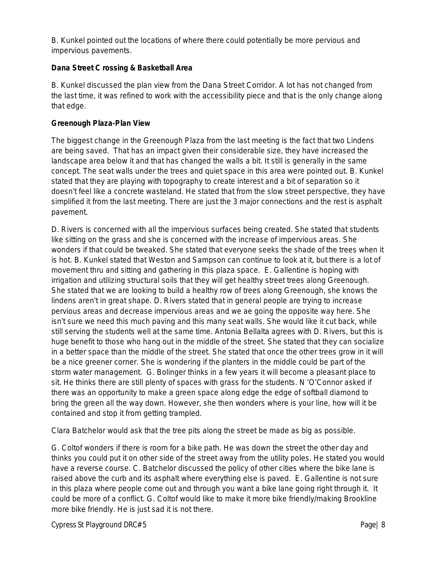B. Kunkel pointed out the locations of where there could potentially be more pervious and impervious pavements.

## **Dana Street C rossing & Basketball Area**

B. Kunkel discussed the plan view from the Dana Street Corridor. A lot has not changed from the last time, it was refined to work with the accessibility piece and that is the only change along that edge.

## **Greenough Plaza-Plan View**

The biggest change in the Greenough Plaza from the last meeting is the fact that two Lindens are being saved. That has an impact given their considerable size, they have increased the landscape area below it and that has changed the walls a bit. It still is generally in the same concept. The seat walls under the trees and quiet space in this area were pointed out. B. Kunkel stated that they are playing with topography to create interest and a bit of separation so it doesn't feel like a concrete wasteland. He stated that from the slow street perspective, they have simplified it from the last meeting. There are just the 3 major connections and the rest is asphalt pavement.

D. Rivers is concerned with all the impervious surfaces being created. She stated that students like sitting on the grass and she is concerned with the increase of impervious areas. She wonders if that could be tweaked. She stated that everyone seeks the shade of the trees when it is hot. B. Kunkel stated that Weston and Sampson can continue to look at it, but there is a lot of movement thru and sitting and gathering in this plaza space. E. Gallentine is hoping with irrigation and utilizing structural soils that they will get healthy street trees along Greenough. She stated that we are looking to build a healthy row of trees along Greenough, she knows the lindens aren't in great shape. D. Rivers stated that in general people are trying to increase pervious areas and decrease impervious areas and we ae going the opposite way here. She isn't sure we need this much paving and this many seat walls. She would like it cut back, while still serving the students well at the same time. Antonia Bellalta agrees with D. Rivers, but this is huge benefit to those who hang out in the middle of the street. She stated that they can socialize in a better space than the middle of the street. She stated that once the other trees grow in it will be a nice greener corner. She is wondering if the planters in the middle could be part of the storm water management. G. Bolinger thinks in a few years it will become a pleasant place to sit. He thinks there are still plenty of spaces with grass for the students. N 'O'Connor asked if there was an opportunity to make a green space along edge the edge of softball diamond to bring the green all the way down. However, she then wonders where is your line, how will it be contained and stop it from getting trampled.

Clara Batchelor would ask that the tree pits along the street be made as big as possible.

G. Coltof wonders if there is room for a bike path. He was down the street the other day and thinks you could put it on other side of the street away from the utility poles. He stated you would have a reverse course. C. Batchelor discussed the policy of other cities where the bike lane is raised above the curb and its asphalt where everything else is paved. E. Gallentine is not sure in this plaza where people come out and through you want a bike lane going right through it. It could be more of a conflict. G. Coltof would like to make it more bike friendly/making Brookline more bike friendly. He is just sad it is not there.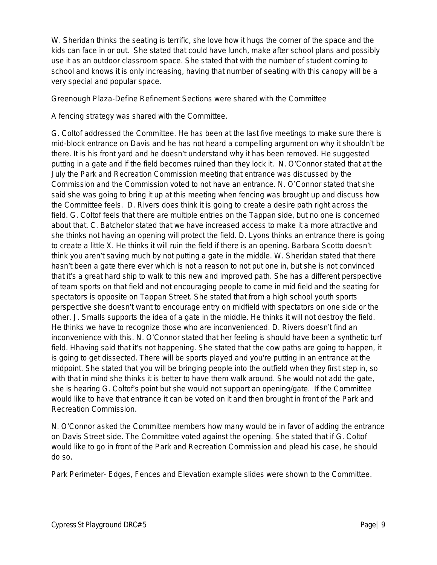W. Sheridan thinks the seating is terrific, she love how it hugs the corner of the space and the kids can face in or out. She stated that could have lunch, make after school plans and possibly use it as an outdoor classroom space. She stated that with the number of student coming to school and knows it is only increasing, having that number of seating with this canopy will be a very special and popular space.

Greenough Plaza-Define Refinement Sections were shared with the Committee

A fencing strategy was shared with the Committee.

G. Coltof addressed the Committee. He has been at the last five meetings to make sure there is mid-block entrance on Davis and he has not heard a compelling argument on why it shouldn't be there. It is his front yard and he doesn't understand why it has been removed. He suggested putting in a gate and if the field becomes ruined than they lock it. N. O'Connor stated that at the July the Park and Recreation Commission meeting that entrance was discussed by the Commission and the Commission voted to not have an entrance. N. O'Connor stated that she said she was going to bring it up at this meeting when fencing was brought up and discuss how the Committee feels. D. Rivers does think it is going to create a desire path right across the field. G. Coltof feels that there are multiple entries on the Tappan side, but no one is concerned about that. C. Batchelor stated that we have increased access to make it a more attractive and she thinks not having an opening will protect the field. D. Lyons thinks an entrance there is going to create a little X. He thinks it will ruin the field if there is an opening. Barbara Scotto doesn't think you aren't saving much by not putting a gate in the middle. W. Sheridan stated that there hasn't been a gate there ever which is not a reason to not put one in, but she is not convinced that it's a great hard ship to walk to this new and improved path. She has a different perspective of team sports on that field and not encouraging people to come in mid field and the seating for spectators is opposite on Tappan Street. She stated that from a high school youth sports perspective she doesn't want to encourage entry on midfield with spectators on one side or the other. J. Smalls supports the idea of a gate in the middle. He thinks it will not destroy the field. He thinks we have to recognize those who are inconvenienced. D. Rivers doesn't find an inconvenience with this. N. O'Connor stated that her feeling is should have been a synthetic turf field. Hhaving said that it's not happening. She stated that the cow paths are going to happen, it is going to get dissected. There will be sports played and you're putting in an entrance at the midpoint. She stated that you will be bringing people into the outfield when they first step in, so with that in mind she thinks it is better to have them walk around. She would not add the gate, she is hearing G. Coltof's point but she would not support an opening/gate. If the Committee would like to have that entrance it can be voted on it and then brought in front of the Park and Recreation Commission.

N. O'Connor asked the Committee members how many would be in favor of adding the entrance on Davis Street side. The Committee voted against the opening. She stated that if G. Coltof would like to go in front of the Park and Recreation Commission and plead his case, he should do so.

Park Perimeter- Edges, Fences and Elevation example slides were shown to the Committee.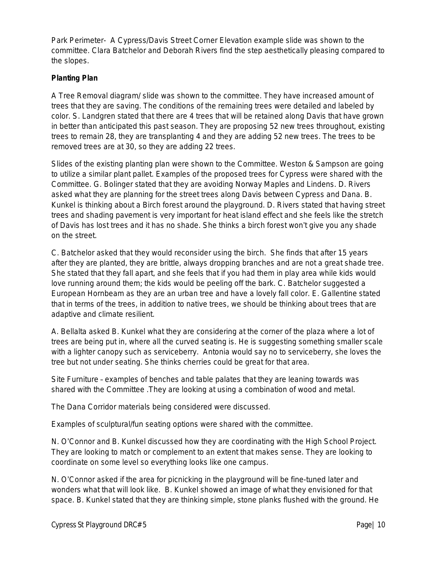Park Perimeter- A Cypress/Davis Street Corner Elevation example slide was shown to the committee. Clara Batchelor and Deborah Rivers find the step aesthetically pleasing compared to the slopes.

## **Planting Plan**

A Tree Removal diagram/ slide was shown to the committee. They have increased amount of trees that they are saving. The conditions of the remaining trees were detailed and labeled by color. S. Landgren stated that there are 4 trees that will be retained along Davis that have grown in better than anticipated this past season. They are proposing 52 new trees throughout, existing trees to remain 28, they are transplanting 4 and they are adding 52 new trees. The trees to be removed trees are at 30, so they are adding 22 trees.

Slides of the existing planting plan were shown to the Committee. Weston & Sampson are going to utilize a similar plant pallet. Examples of the proposed trees for Cypress were shared with the Committee. G. Bolinger stated that they are avoiding Norway Maples and Lindens. D. Rivers asked what they are planning for the street trees along Davis between Cypress and Dana. B. Kunkel is thinking about a Birch forest around the playground. D. Rivers stated that having street trees and shading pavement is very important for heat island effect and she feels like the stretch of Davis has lost trees and it has no shade. She thinks a birch forest won't give you any shade on the street.

C. Batchelor asked that they would reconsider using the birch. She finds that after 15 years after they are planted, they are brittle, always dropping branches and are not a great shade tree. She stated that they fall apart, and she feels that if you had them in play area while kids would love running around them; the kids would be peeling off the bark. C. Batchelor suggested a European Hornbeam as they are an urban tree and have a lovely fall color. E. Gallentine stated that in terms of the trees, in addition to native trees, we should be thinking about trees that are adaptive and climate resilient.

A. Bellalta asked B. Kunkel what they are considering at the corner of the plaza where a lot of trees are being put in, where all the curved seating is. He is suggesting something smaller scale with a lighter canopy such as serviceberry. Antonia would say no to serviceberry, she loves the tree but not under seating. She thinks cherries could be great for that area.

Site Furniture – examples of benches and table palates that they are leaning towards was shared with the Committee .They are looking at using a combination of wood and metal.

The Dana Corridor materials being considered were discussed.

Examples of sculptural/fun seating options were shared with the committee.

N. O'Connor and B. Kunkel discussed how they are coordinating with the High School Project. They are looking to match or complement to an extent that makes sense. They are looking to coordinate on some level so everything looks like one campus.

N. O'Connor asked if the area for picnicking in the playground will be fine-tuned later and wonders what that will look like. B. Kunkel showed an image of what they envisioned for that space. B. Kunkel stated that they are thinking simple, stone planks flushed with the ground. He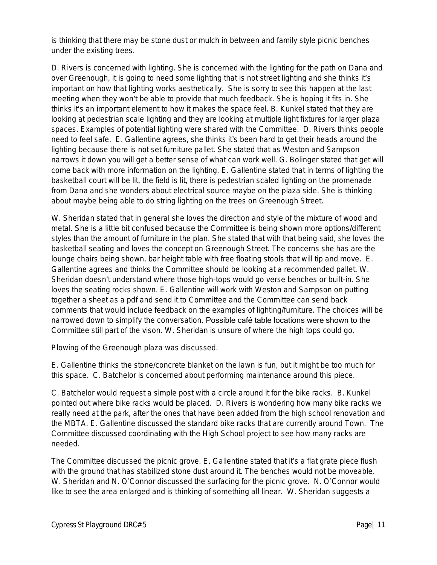is thinking that there may be stone dust or mulch in between and family style picnic benches under the existing trees.

D. Rivers is concerned with lighting. She is concerned with the lighting for the path on Dana and over Greenough, it is going to need some lighting that is not street lighting and she thinks it's important on how that lighting works aesthetically. She is sorry to see this happen at the last meeting when they won't be able to provide that much feedback. She is hoping it fits in. She thinks it's an important element to how it makes the space feel. B. Kunkel stated that they are looking at pedestrian scale lighting and they are looking at multiple light fixtures for larger plaza spaces. Examples of potential lighting were shared with the Committee. D. Rivers thinks people need to feel safe. E. Gallentine agrees, she thinks it's been hard to get their heads around the lighting because there is not set furniture pallet. She stated that as Weston and Sampson narrows it down you will get a better sense of what can work well. G. Bolinger stated that get will come back with more information on the lighting. E. Gallentine stated that in terms of lighting the basketball court will be lit, the field is lit, there is pedestrian scaled lighting on the promenade from Dana and she wonders about electrical source maybe on the plaza side. She is thinking about maybe being able to do string lighting on the trees on Greenough Street.

W. Sheridan stated that in general she loves the direction and style of the mixture of wood and metal. She is a little bit confused because the Committee is being shown more options/different styles than the amount of furniture in the plan. She stated that with that being said, she loves the basketball seating and loves the concept on Greenough Street. The concerns she has are the lounge chairs being shown, bar height table with free floating stools that will tip and move. E. Gallentine agrees and thinks the Committee should be looking at a recommended pallet. W. Sheridan doesn't understand where those high-tops would go verse benches or built-in. She loves the seating rocks shown. E. Gallentine will work with Weston and Sampson on putting together a sheet as a pdf and send it to Committee and the Committee can send back comments that would include feedback on the examples of lighting/furniture. The choices will be narrowed down to simplify the conversation. Possible café table locations were shown to the Committee still part of the vison. W. Sheridan is unsure of where the high tops could go.

Plowing of the Greenough plaza was discussed.

E. Gallentine thinks the stone/concrete blanket on the lawn is fun, but it might be too much for this space. C. Batchelor is concerned about performing maintenance around this piece.

C. Batchelor would request a simple post with a circle around it for the bike racks. B. Kunkel pointed out where bike racks would be placed. D. Rivers is wondering how many bike racks we really need at the park, after the ones that have been added from the high school renovation and the MBTA. E. Gallentine discussed the standard bike racks that are currently around Town. The Committee discussed coordinating with the High School project to see how many racks are needed.

The Committee discussed the picnic grove. E. Gallentine stated that it's a flat grate piece flush with the ground that has stabilized stone dust around it. The benches would not be moveable. W. Sheridan and N. O'Connor discussed the surfacing for the picnic grove. N. O'Connor would like to see the area enlarged and is thinking of something all linear. W. Sheridan suggests a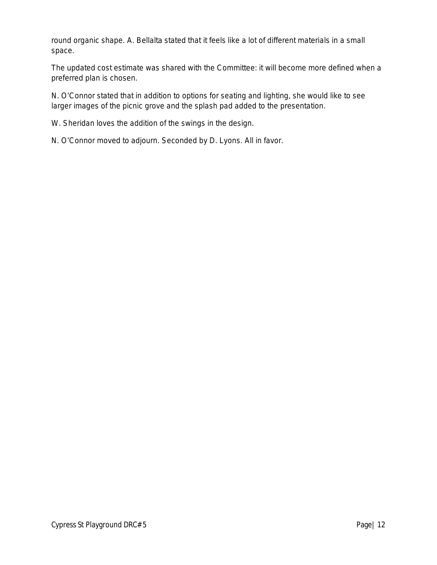round organic shape. A. Bellalta stated that it feels like a lot of different materials in a small space.

The updated cost estimate was shared with the Committee: it will become more defined when a preferred plan is chosen.

N. O'Connor stated that in addition to options for seating and lighting, she would like to see larger images of the picnic grove and the splash pad added to the presentation.

W. Sheridan loves the addition of the swings in the design.

N. O'Connor moved to adjourn. Seconded by D. Lyons. All in favor.